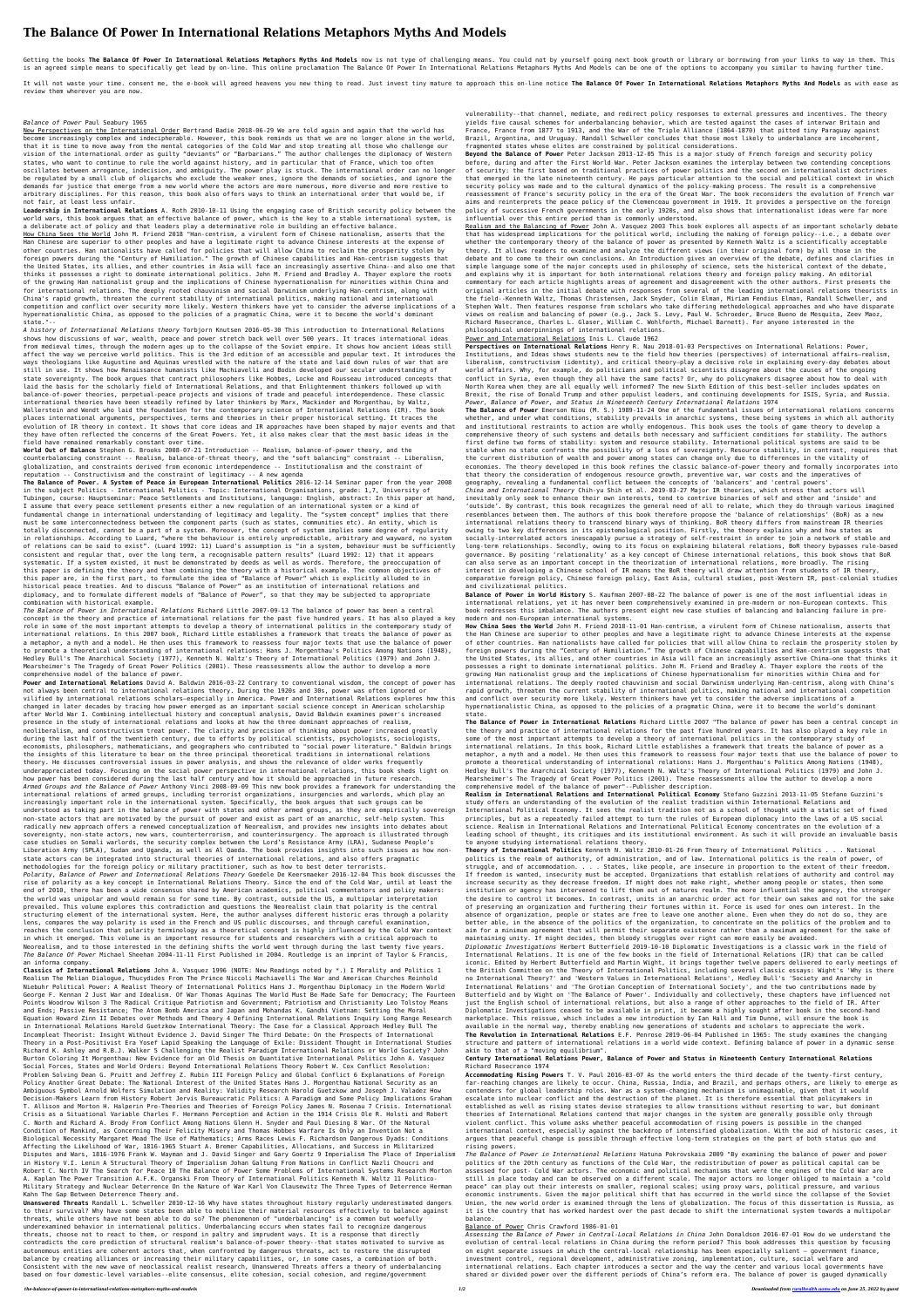# **The Balance Of Power In International Relations Metaphors Myths And Models**

Getting the books The Balance Of Power In International Relations Metaphors Myths And Models now is not type of challenging means. You could not by yourself going next book growth or library or borrowing from your links to is an agreed simple means to specifically get lead by on-line. This online proclamation The Balance Of Power In International Relations Metaphors Myths And Models can be one of the options to accompany you similar to havin

It will not waste your time. consent me, the e-book will agreed heavens you new thing to read. Just invest tiny mature to approach this on-line notice The Balance Of Power In International Relations Metaphors Myths And Mod review them wherever you are now.

## *Balance of Power* Paul Seabury 1965

New Perspectives on the International Order Bertrand Badie 2018-06-29 We are told again and again that the world has become increasingly complex and indecipherable. However, this book reminds us that we are no longer alone in the world, that it is time to move away from the mental categories of the Cold War and stop treating all those who challenge our vision of the international order as guilty "deviants" or "Barbarians." The author challenges the diplomacy of Western states, who want to continue to rule the world against history, and in particular that of France, which too often oscillates between arrogance, indecision, and ambiguity. The power play is stuck. The international order can no longer be regulated by a small club of oligarchs who exclude the weaker ones, ignore the demands of societies, and ignore the demands for justice that emerge from a new world where the actors are more numerous, more diverse and more restive to arbitrary disciplines. For this reason, this book also offers ways to think an international order that would be, if not fair, at least less unfair.

**Leadership in International Relations** A. Roth 2010-10-11 Using the engaging case of British security policy between the world wars, this book argues that an effective balance of power, which is the key to a stable international system, is a deliberate act of policy and that leaders play a determinative role in building an effective balance.

How China Sees the World John M. Friend 2018 "Han-centrism, a virulent form of Chinese nationalism, asserts that the Han Chinese are superior to other peoples and have a legitimate right to advance Chinese interests at the expense of other countries. Han nationalists have called for policies that will allow China to reclaim the prosperity stolen by foreign powers during the "Century of Humiliation." The growth of Chinese capabilities and Han-centrism suggests that the United States, its allies, and other countries in Asia will face an increasingly assertive China--and also one that thinks it possesses a right to dominate international politics. John M. Friend and Bradley A. Thayer explore the roots of the growing Han nationalist group and the implications of Chinese hypernationalism for minorities within China and for international relations. The deeply rooted chauvinism and social Darwinism underlying Han-centrism, along with China's rapid growth, threaten the current stability of international politics, making national and international competition and conflict over security more likely. Western thinkers have yet to consider the adverse implications of a hypernationalistic China, as opposed to the policies of a pragmatic China, were it to become the world's dominant state."--

*A history of International Relations theory* Torbjorn Knutsen 2016-05-30 This introduction to International Relations shows how discussions of war, wealth, peace and power stretch back well over 500 years. It traces international ideas from medieval times, through the modern ages up to the collapse of the Soviet empire. It shows how ancient ideas still affect the way we perceive world politics. This is the 3rd edition of an accessible and popular text. It introduces the ways theologians like Augustine and Aquinas wrestled with the nature of the state and laid down rules of war that are still in use. It shows how Renaissance humanists like Machiavelli and Bodin developed our secular understanding of state sovereignty. The book argues that contract philosophers like Hobbes, Locke and Rousseau introduced concepts that laid the basis for the scholarly field of International Relations, and that Enlightenment thinkers followed up with balance-of-power theories, perpetual-peace projects and visions of trade and peaceful interdependence. These classic international theories have been steadily refined by later thinkers by Marx, Mackinder and Morgenthau, by Waltz, Wallerstein and Wendt who laid the foundation for the contemporary science of International Relations (IR). The book places international arguments, perspectives, terms and theories in their proper historical setting. It traces the evolution of IR theory in context. It shows that core ideas and IR approaches have been shaped by major events and that they have often reflected the concerns of the Great Powers. Yet, it also makes clear that the most basic ideas in the field have remained remarkably constant over time.

**World Out of Balance** Stephen G. Brooks 2008-07-21 Introduction -- Realism, balance-of-power theory, and the counterbalancing constraint -- Realism, balance-of-threat theory, and the "soft balancing" constraint -- Liberalism, globalization, and constraints derived from economic interdependence -- Institutionalism and the constraint of reputation -- Constructivism and the constraint of legitimacy -- A new agenda

**The Balance of Power. A System of Peace in European International Politics** 2016-12-14 Seminar paper from the year 2008 in the subject Politics - International Politics - Topic: International Organisations, grade: 1,7, University of Tubingen, course: Hauptseminar: Peace Settlements and Institutions, language: English, abstract: In this paper at hand, I assume that every peace settlement presents either a new regulation of an international system or a kind of fundamental change in international understanding of legitimacy and legality. The "system concept" implies that there must be some interconnectedness between the component parts (such as states, communities etc). An entity, which is totally disconnected, cannot be a part of a system. Moreover, the concept of system implies some degree of regularity in relationships. According to Luard, "where the behaviour is entirely unpredictable, arbitrary and wayward, no system of relations can be said to exist". (Luard 1992: 11) Luard's assumption is "in a system, behaviour must be sufficiently consistent and regular that, over the long term, a recognisable pattern results" (Luard 1992: 12) that it appears systematic. If a system existed, it must be demonstrated by deeds as well as words. Therefore, the preoccupation of this paper is defining the theory and than combining the theory with a historical example. The common objectives of this paper are, in the first part, to formulate the idea of "Balance of Power" which is explicitly alluded to in historical peace treaties. And to discuss "Balance of Power" as an institution of international relations and diplomacy, and to formulate different models of "Balance of Power", so that they may be subjected to appropriate combination with historical example. *The Balance of Power in International Relations* Richard Little 2007-09-13 The balance of power has been a central concept in the theory and practice of international relations for the past five hundred years. It has also played a key role in some of the most important attempts to develop a theory of international politics in the contemporary study of international relations. In this 2007 book, Richard Little establishes a framework that treats the balance of power as a metaphor, a myth and a model. He then uses this framework to reassess four major texts that use the balance of power to promote a theoretical understanding of international relations: Hans J. Morgenthau's Politics Among Nations (1948), Hedley Bull's The Anarchical Society (1977), Kenneth N. Waltz's Theory of International Politics (1979) and John J. Mearsheimer's The Tragedy of Great Power Politics (2001). These reassessments allow the author to develop a more comprehensive model of the balance of power. **Power and International Relations** David A. Baldwin 2016-03-22 Contrary to conventional wisdom, the concept of power has not always been central to international relations theory. During the 1920s and 30s, power was often ignored or vilified by international relations scholars—especially in America. Power and International Relations explores how this changed in later decades by tracing how power emerged as an important social science concept in American scholarship after World War I. Combining intellectual history and conceptual analysis, David Baldwin examines power's increased presence in the study of international relations and looks at how the three dominant approaches of realism, neoliberalism, and constructivism treat power. The clarity and precision of thinking about power increased greatly during the last half of the twentieth century, due to efforts by political scientists, psychologists, sociologists, economists, philosophers, mathematicians, and geographers who contributed to "social power literature." Baldwin brings the insights of this literature to bear on the three principal theoretical traditions in international relations theory. He discusses controversial issues in power analysis, and shows the relevance of older works frequently underappreciated today. Focusing on the social power perspective in international relations, this book sheds light on how power has been considered during the last half century and how it should be approached in future research. *Armed Groups and the Balance of Power* Anthony Vinci 2008-09-09 This new book provides a framework for understanding the international relations of armed groups, including terrorist organizations, insurgencies and warlords, which play an increasingly important role in the international system. Specifically, the book argues that such groups can be understood as taking part in the balance of power with states and other armed groups, as they are empirically sovereign non-state actors that are motivated by the pursuit of power and exist as part of an anarchic, self-help system. This radically new approach offers a renewed conceptualization of Neorealism, and provides new insights into debates about sovereignty, non-state actors, new wars, counterterrorism, and counterinsurgency. The approach is illustrated through case studies on Somali warlords, the security complex between the Lord's Resistance Army (LRA), Sudanese People's Liberation Army (SPLA), Sudan and Uganda, as well as Al Qaeda. The book provides insights into such issues as how nonstate actors can be integrated into structural theories of international relations, and also offers pragmatic methodologies for the foreign policy or military practitioner, such as how to best deter terrorists. *Polarity, Balance of Power and International Relations Theory* Goedele De Keersmaeker 2016-12-04 This book discusses the rise of polarity as a key concept in International Relations Theory. Since the end of the Cold War, until at least the end of 2010, there has been a wide consensus shared by American academics, political commentators and policy makers: the world was unipolar and would remain so for some time. By contrast, outside the US, a multipolar interpretation prevailed. This volume explores this contradiction and questions the Neorealist claim that polarity is the central structuring element of the international system. Here, the author analyses different historic eras through a polarity lens, compares the way polarity is used in the French and US public discourses, and through careful examination, reaches the conclusion that polarity terminology as a theoretical concept is highly influenced by the Cold War context in which it emerged. This volume is an important resource for students and researchers with a critical approach to Neorealism, and to those interested in the defining shifts the world went through during the last twenty five years. *The Balance Of Power* Michael Sheehan 2004-11-11 First Published in 2004. Routledge is an imprint of Taylor & Francis, an informa company.

**Classics of International Relations** John A. Vasquez 1996 (NOTE: New Readings noted by \*.) I Morality and Politics 1 Realism The Melian Dialogue, Thucydides From The Prince Niccoli Machiavelli The War and American Churches Reinhold Niebuhr Political Power: A Realist Theory of International Politics Hans J. Morgenthau Diplomacy in the Modern World George F. Kennan 2 Just War and Idealism. Of War Thomas Aquinas The World Must Be Made Safe for Democracy; The Fourteen Points Woodrow Wilson 3 The Radical Critique Patriotism and Government; Patriotism and Christianity Leo Tolstoy Means and Ends; Passive Resistance; The Atom Bomb America and Japan and Mohandas K. Gandhi Vietnam: Setting the Moral Equation Howard Zinn II Debates over Methods and Theory 4 Defining International Relations Inquiry Long Range Research in International Relations Harold Guetzkow International Theory: The Case for a Classical Approach Hedley Bull The Incompleat Theorist: Insight Without Evidence J. David Singer The Third Debate: On the Prospects of International Theory in a Post-Positivist Era Yosef Lapid Speaking the Language of Exile: Dissident Thought in International Studies Richard K. Ashley and R.B.J. Walker 5 Challenging the Realist Paradigm International Relations or World Society? John Burton Coloring It Morgenthau: New Evidence for an Old Thesis on Quantitative International Politics John A. Vasquez Social Forces, States and World Orders: Beyond International Relations Theory Robert W. Cox Conflict Resolution: Problem Solving Dean G. Pruitt and Jeffrey Z. Rubin III Foreign Policy and Global Conflict 6 Explanations of Foreign Policy Another Great Debate: The National Interest of the United States Hans J. Morgenthau National Security as an Ambiguous Symbol Arnold Wolfers Simulation and Reality: Validity Research Harold Guetzkow and Joseph J. Valadez How Decision-Makers Learn from History Robert Jervis Bureaucratic Politics: A Paradigm and Some Policy Implications Graham T. Allison and Morton H. Halperin Pre-Theories and Theories of Foreign Policy James N. Rosenau 7 Crisis. International Crisis as a Situational Variable Charles F. Hermann Perception and Action in the 1914 Crisis Ole R. Holsti and Robert C. North and Richard A. Brody From Conflict Among Nations Glenn H. Snyder and Paul Diesing 8 War. Of the Natural Condition of Mankind, as Concerning Their Felicity Misery and Thomas Hobbes Warfare Is Only an Invention Not a Biological Necessity Margaret Mead The Use of Mathematics; Arms Races Lewis F. Richardson Dangerous Dyads: Conditions Affecting the Likelihood of War, 1816-1965 Stuart A. Bremer Capabilities, Allocations, and Success in Militarized Disputes and Wars, 1816-1976 Frank W. Wayman and J. David Singer and Gary Goertz 9 Imperialism The Place of Imperialism in History V.I. Lenin A Structural Theory of Imperialism Johan Galtung From Nations in Conflict Nazli Choucri and Robert C. North IV The Search for Peace 10 The Balance of Power Some Problems of International Systems Research Morton A. Kaplan The Power Transition A.F.K. Organski From Theory of International Politics Kenneth N. Waltz 11 Politico-Military Strategy and Nuclear Deterrence On the Nature of War Karl Von Clausewitz The Three Types of Deterrence Herman Kahn The Gap Between Deterrence Theory and. **Unanswered Threats** Randall L. Schweller 2010-12-16 Why have states throughout history regularly underestimated dangers to their survival? Why have some states been able to mobilize their material resources effectively to balance against threats, while others have not been able to do so? The phenomenon of "underbalancing" is a common but woefully underexamined behavior in international politics. Underbalancing occurs when states fail to recognize dangerous threats, choose not to react to them, or respond in paltry and imprudent ways. It is a response that directly contradicts the core prediction of structural realism's balance-of-power theory--that states motivated to survive as autonomous entities are coherent actors that, when confronted by dangerous threats, act to restore the disrupted balance by creating alliances or increasing their military capabilities, or, in some cases, a combination of both. Consistent with the new wave of neoclassical realist research, Unanswered Threats offers a theory of underbalancing based on four domestic-level variables--elite consensus, elite cohesion, social cohesion, and regime/government

vulnerability--that channel, mediate, and redirect policy responses to external pressures and incentives. The theory yields five causal schemes for underbalancing behavior, which are tested against the cases of interwar Britain and France, France from 1877 to 1913, and the War of the Triple Alliance (1864-1870) that pitted tiny Paraguay against Brazil, Argentina, and Uruguay. Randall Schweller concludes that those most likely to underbalance are incoherent, fragmented states whose elites are constrained by political considerations.

**Beyond the Balance of Power** Peter Jackson 2013-12-05 This is a major study of French foreign and security policy before, during and after the First World War. Peter Jackson examines the interplay between two contending conceptions of security: the first based on traditional practices of power politics and the second on internationalist doctrines that emerged in the late nineteenth century. He pays particular attention to the social and political context in which security policy was made and to the cultural dynamics of the policy-making process. The result is a comprehensive reassessment of France's security policy in the era of the Great War. The book reconsiders the evolution of French war aims and reinterprets the peace policy of the Clemenceau government in 1919. It provides a perspective on the foreign policy of successive French governments in the early 1920s, and also shows that internationalist ideas were far more influential over this entire period than is commonly understood.

Realism and the Balancing of Power John A. Vasquez 2003 This book explores all aspects of an important scholarly debate that has widespread implications for the political world, including the making of foreign policy--i.e., a debate over whether the contemporary theory of the balance of power as presented by Kenneth Waltz is a scientifically acceptable theory. It allows readers to examine and analyze the different views (in their original form) by all those in the debate and to come to their own conclusions. An Introduction gives an overview of the debate, defines and clarifies in simple language some of the major concepts used in philosophy of science, sets the historical context of the debate, and explains why it is important for both international relations theory and foreign policy making. An editorial commentary for each article highlights areas of agreement and disagreement with the other authors. First presents the original articles in the initial debate with responses from several of the leading international relations theorists in the field--Kenneth Waltz, Thomas Christensen, Jack Snyder, Colin Elman, Miriam Fendius Elman, Randall Schweller, and Stephen Walt. Then features response from scholars who take differing methodological approaches and who have disparate views on realism and balancing of power (e.g., Jack S. Levy, Paul W. Schroeder, Bruce Bueno de Mesquita, Zeev Maoz, Richard Rosecrance, Charles L. Glaser, William C. Wohlforth, Michael Barnett). For anyone interested in the philosophical underpinnings of international relations.

## Power and International Relations Inis L. Claude 1962

**Perspectives on International Relations** Henry R. Nau 2018-01-03 Perspectives on International Relations: Power, Institutions, and Ideas shows students new to the field how theories (perspectives) of international affairs—realism, liberalism, constructivism (identity), and critical theory—play a decisive role in explaining every-day debates about world affairs. Why, for example, do politicians and political scientists disagree about the causes of the ongoing conflict in Syria, even though they all have the same facts? Or, why do policymakers disagree about how to deal with North Korea when they are all equally well informed? The new Sixth Edition of this best-seller includes updates on Brexit, the rise of Donald Trump and other populist leaders, and continuing developments for ISIS, Syria, and Russia. *Power, Balance of Power, and Status in Nineteenth Century International Relations* 1974

**The Balance of Power** Emerson Niou (M. S.) 1989-11-24 One of the fundamental issues of international relations concerns whether, and under what conditions, stability prevails in anarchic systems, these being systems in which all authority and institutional restraints to action are wholly endogenous. This book uses the tools of game theory to develop a comprehensive theory of such systems and details both necessary and sufficient conditions for stability. The authors first define two forms of stability: system and resource stability. International political systems are said to be stable when no state confronts the possibility of a loss of sovereignty. Resource stability, in contrast, requires that the current distribution of wealth and power among states can change only due to differences in the vitality of economies. The theory developed in this book refines the classic balance-of-power theory and formally incorporates into that theory the consideration of endogenous resource growth, preventive war, war costs and the imperatives of geography, revealing a fundamental conflict between the concepts of 'balancers' and 'central powers'. *China and International Theory* Chih-yu Shih et al. 2019-03-27 Major IR theories, which stress that actors will inevitably only seek to enhance their own interests, tend to contrive binaries of self and other and 'inside' and 'outside'. By contrast, this book recognizes the general need of all to relate, which they do through various imagined resemblances between them. The authors of this book therefore propose the 'balance of relationships' (BoR) as a new international relations theory to transcend binary ways of thinking. BoR theory differs from mainstream IR theories owing to two key differences in its epistemological position. Firstly, the theory explains why and how states as socially-interrelated actors inescapably pursue a strategy of self-restraint in order to join a network of stable and long-term relationships. Secondly, owing to its focus on explaining bilateral relations, BoR theory bypasses rule-based governance. By positing 'relationality' as a key concept of Chinese international relations, this book shows that BoR can also serve as an important concept in the theorization of international relations, more broadly. The rising interest in developing a Chinese school of IR means the BoR theory will draw attention from students of IR theory, comparative foreign policy, Chinese foreign policy, East Asia, cultural studies, post-Western IR, post-colonial studies and civilizational politics.

**Balance of Power in World History** S. Kaufman 2007-08-22 The balance of power is one of the most influential ideas in international relations, yet it has never been comprehensively examined in pre-modern or non-European contexts. This book redresses this imbalance. The authors present eight new case studies of balancing and balancing failure in premodern and non-European international systems.

**How China Sees the World** John M. Friend 2018-11-01 Han-centrism, a virulent form of Chinese nationalism, asserts that the Han Chinese are superior to other peoples and have a legitimate right to advance Chinese interests at the expense of other countries. Han nationalists have called for policies that will allow China to reclaim the prosperity stolen by foreign powers during the "Century of Humiliation." The growth of Chinese capabilities and Han-centrism suggests that the United States, its allies, and other countries in Asia will face an increasingly assertive China—one that thinks it possesses a right to dominate international politics. John M. Friend and Bradley A. Thayer explore the roots of the growing Han nationalist group and the implications of Chinese hypernationalism for minorities within China and for international relations. The deeply rooted chauvinism and social Darwinism underlying Han-centrism, along with China's rapid growth, threaten the current stability of international politics, making national and international competition and conflict over security more likely. Western thinkers have yet to consider the adverse implications of a hypernationalistic China, as opposed to the policies of a pragmatic China, were it to become the world's dominant state.

**The Balance of Power in International Relations** Richard Little 2007 "The balance of power has been a central concept in the theory and practice of international relations for the past five hundred years. It has also played a key role in some of the most important attempts to develop a theory of international politics in the contemporary study of international relations. In this book, Richard Little establishes a framework that treats the balance of power as a metaphor, a myth and a model. He then uses this framework to reassess four major texts that use the balance of power to promote a theoretical understanding of international relations: Hans J. Morgenthau's Politics Among Nations (1948), Hedley Bull's The Anarchical Society (1977), Kenneth N. Waltz's Theory of International Politics (1979) and John J. Mearsheimer's The Tragedy of Great Power Politics (2001). These reassessments allow the author to develop a more comprehensive model of the balance of power"--Publisher description.

**Realism in International Relations and International Political Economy** Stefano Guzzini 2013-11-05 Stefano Guzzini's study offers an understanding of the evolution of the realist tradition within International Relations and International Political Economy. It sees the realist tradition not as a school of thought with a static set of fixed principles, but as a repeatedly failed attempt to turn the rules of European diplomacy into the laws of a US social science. Realism in International Relations and International Political Economy concentrates on the evolution of a leading school of thought, its critiques and its institutional environment. As such it will provide an invaluable basis to anyone studying international relations theory.

**Theory of International Politics** Kenneth N. Waltz 2010-01-26 From Theory of International Politics . . . National politics is the realm of authority, of administration, and of law. International politics is the realm of power, of struggle, and of accommodation. . . . States, like people, are insecure in proportion to the extent of their freedom. If freedom is wanted, insecurity must be accepted. Organizations that establish relations of authority and control may increase security as they decrease freedom. If might does not make right, whether among people or states, then some institution or agency has intervened to lift them out of natures realm. The more influential the agency, the stronger the desire to control it becomes. In contrast, units in an anarchic order act for their own sakes and not for the sake of preserving an organization and furthering their fortunes within it. Force is used for ones own interest. In the absence of organization, people or states are free to leave one another alone. Even when they do not do so, they are better able, in the absence of the politics of the organization, to concentrate on the politics of the problem and to aim for a minimum agreement that will permit their separate existence rather than a maximum agreement for the sake of maintaining unity. If might decides, then bloody struggles over right can more easily be avoided.

*Diplomatic Investigations* Herbert Butterfield 2019-10-10 Diplomatic Investigations is a classic work in the field of International Relations. It is one of the few books in the field of International Relations (IR) that can be called iconic. Edited by Herbert Butterfield and Martin Wight, it brings together twelve papers delivered to early meetings of the British Committee on the Theory of International Politics, including several classic essays: Wight's 'Why is there no International Theory?' and 'Western Values in International Relations', Hedley Bull's 'Society and Anarchy in International Relations' and 'The Grotian Conception of International Society', and the two contributions made by Butterfield and by Wight on 'The Balance of Power'. Individually and collectively, these chapters have influenced not just the English school of international relations, but also a range of other approaches to the field of IR. After Diplomatic Investigations ceased to be available in print, it became a highly sought after book in the second-hand marketplace. This reissue, which includes a new introduction by Ian Hall and Tim Dunne, will ensure the book is available in the normal way, thereby enabling new generations of students and scholars to appreciate the work. **The Revolution in International Relations** E.F. Penrose 2019-06-04 Published in 1965: The study examines the changing structure and pattern of international relations in a world wide context. Defining balance of power in a dynamic sense akin to that of a "moving equilibrium".

#### **Century International Relations Power, Balance of Power and Status in Nineteenth Century International Relations** Richard Rosecrance 1974

**Accommodating Rising Powers** T. V. Paul 2016-03-07 As the world enters the third decade of the twenty-first century, far-reaching changes are likely to occur. China, Russia, India, and Brazil, and perhaps others, are likely to emerge as contenders for global leadership roles. War as a system-changing mechanism is unimaginable, given that it would escalate into nuclear conflict and the destruction of the planet. It is therefore essential that policymakers in established as well as rising states devise strategies to allow transitions without resorting to war, but dominant theories of International Relations contend that major changes in the system are generally possible only through violent conflict. This volume asks whether peaceful accommodation of rising powers is possible in the changed international context, especially against the backdrop of intensified globalization. With the aid of historic cases, it argues that peaceful change is possible through effective long-term strategies on the part of both status quo and rising powers.

*The Balance of Power in International Relations* Hatuna Pokrovskaia 2009 "By examining the balance of power and power politics of the 20th century as functions of the Cold War, the redistribution of power as political capital can be assessed for post- Cold War actors. The economic and political mechanisms that were the engines of the Cold War are still in place today and can be observed on a different scale. The major actors no longer obliged to maintain a "cold peace" can play out their interests on smaller, regional scales; using proxy wars, political pressure, and various economic instruments. Given the major political shift that has occurred in the world since the collapse of the Soviet Union, the new world order is examined through the lens of globalization. The focus of this dissertation is Russia, as it is the country that has worked hardest over the past decade to shift the international system towards a multipolar balance.

#### Balance of Power Chris Crawford 1986-01-01

*Assessing the Balance of Power in Central-Local Relations in China* John Donaldson 2016-07-01 How do we understand the evolution of central-local relations in China during the reform period? This book addresses this question by focusing on eight separate issues in which the central-local relationship has been especially salient – government finance, investment control, regional development, administrative zoning, implementation, culture, social welfare and international relations. Each chapter introduces a sector and the way the center and various local governments have shared or divided power over the different periods of China's reform era. The balance of power is gauged dynamically